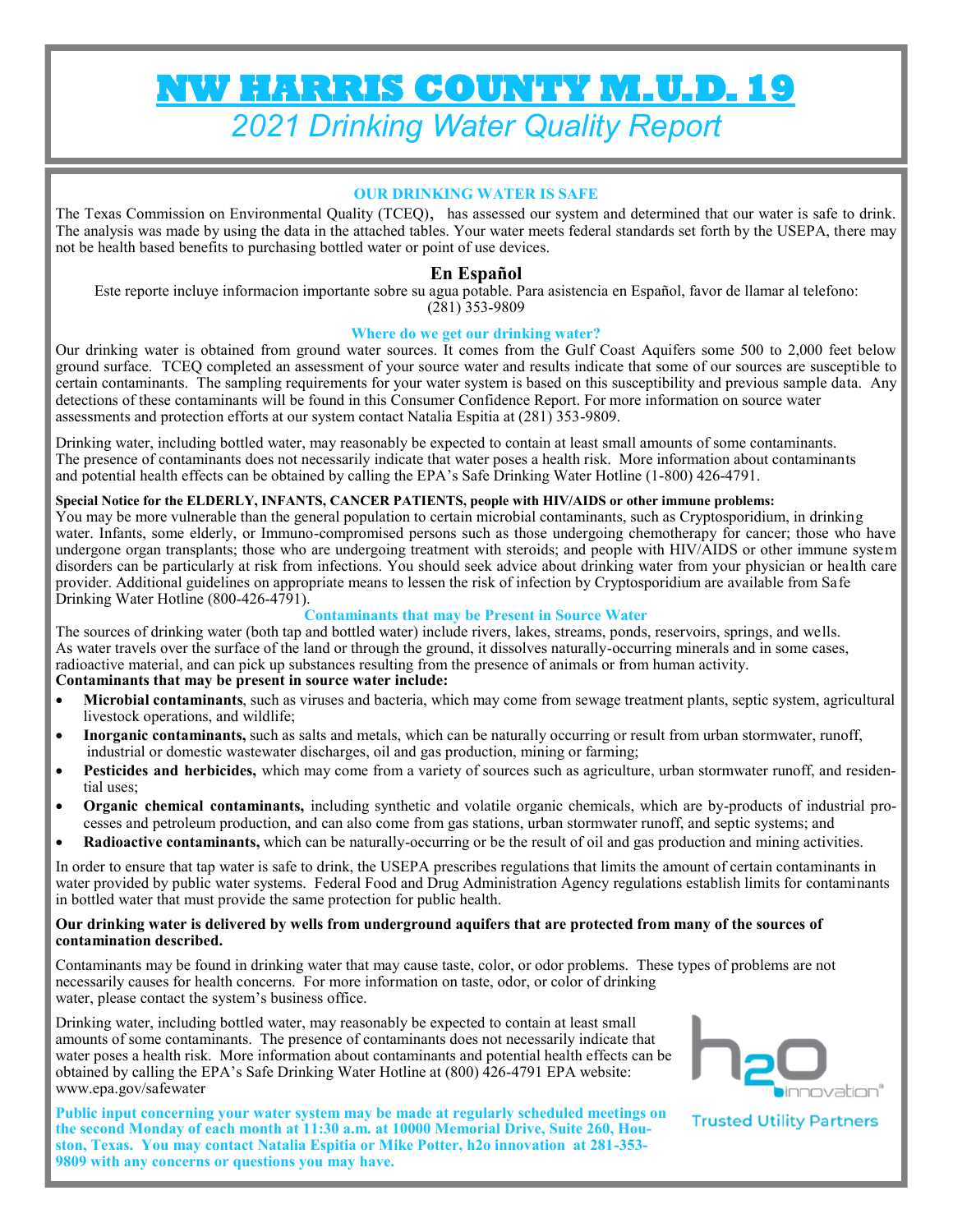# **NW HARRIS COUNTY M.U.D. 19**  *2021 Drinking Water Quality Report*

# **OUR DRINKING WATER IS SAFE**

The Texas Commission on Environmental Quality (TCEQ), has assessed our system and determined that our water is safe to drink. The analysis was made by using the data in the attached tables. Your water meets federal standards set forth by the USEPA, there may not be health based benefits to purchasing bottled water or point of use devices.

# **En Español**

Este reporte incluye informacion importante sobre su agua potable. Para asistencia en Español, favor de llamar al telefono: (281) 353-9809

# **Where do we get our drinking water?**

Our drinking water is obtained from ground water sources. It comes from the Gulf Coast Aquifers some 500 to 2,000 feet below ground surface. TCEQ completed an assessment of your source water and results indicate that some of our sources are susceptible to certain contaminants. The sampling requirements for your water system is based on this susceptibility and previous sample data. Any detections of these contaminants will be found in this Consumer Confidence Report. For more information on source water assessments and protection efforts at our system contact Natalia Espitia at (281) 353-9809.

Drinking water, including bottled water, may reasonably be expected to contain at least small amounts of some contaminants. The presence of contaminants does not necessarily indicate that water poses a health risk. More information about contaminants and potential health effects can be obtained by calling the EPA's Safe Drinking Water Hotline (1-800) 426-4791.

#### **Special Notice for the ELDERLY, INFANTS, CANCER PATIENTS, people with HIV/AIDS or other immune problems:**

You may be more vulnerable than the general population to certain microbial contaminants, such as Cryptosporidium, in drinking water. Infants, some elderly, or Immuno-compromised persons such as those undergoing chemotherapy for cancer; those who have undergone organ transplants; those who are undergoing treatment with steroids; and people with HIV/AIDS or other immune system disorders can be particularly at risk from infections. You should seek advice about drinking water from your physician or health care provider. Additional guidelines on appropriate means to lessen the risk of infection by Cryptosporidium are available from Safe Drinking Water Hotline (800-426-4791).

#### **Contaminants that may be Present in Source Water**

The sources of drinking water (both tap and bottled water) include rivers, lakes, streams, ponds, reservoirs, springs, and wells. As water travels over the surface of the land or through the ground, it dissolves naturally-occurring minerals and in some cases, radioactive material, and can pick up substances resulting from the presence of animals or from human activity.

# **Contaminants that may be present in source water include:**

- Microbial contaminants, such as viruses and bacteria, which may come from sewage treatment plants, septic system, agricultural livestock operations, and wildlife;
- **Inorganic contaminants,** such as salts and metals, which can be naturally occurring or result from urban stormwater, runoff, industrial or domestic wastewater discharges, oil and gas production, mining or farming;
- **Pesticides and herbicides,** which may come from a variety of sources such as agriculture, urban stormwater runoff, and residential uses;
- **Organic chemical contaminants,** including synthetic and volatile organic chemicals, which are by-products of industrial processes and petroleum production, and can also come from gas stations, urban stormwater runoff, and septic systems; and
- **Radioactive contaminants,** which can be naturally-occurring or be the result of oil and gas production and mining activities.

In order to ensure that tap water is safe to drink, the USEPA prescribes regulations that limits the amount of certain contaminants in water provided by public water systems. Federal Food and Drug Administration Agency regulations establish limits for contaminants in bottled water that must provide the same protection for public health.

#### **Our drinking water is delivered by wells from underground aquifers that are protected from many of the sources of contamination described.**

Contaminants may be found in drinking water that may cause taste, color, or odor problems. These types of problems are not necessarily causes for health concerns. For more information on taste, odor, or color of drinking water, please contact the system's business office.

Drinking water, including bottled water, may reasonably be expected to contain at least small amounts of some contaminants. The presence of contaminants does not necessarily indicate that water poses a health risk. More information about contaminants and potential health effects can be obtained by calling the EPA's Safe Drinking Water Hotline at (800) 426-4791 EPA website: www.epa.gov/safewater

**Public input concerning your water system may be made at regularly scheduled meetings on the second Monday of each month at 11:30 a.m. at 10000 Memorial Drive, Suite 260, Houston, Texas. You may contact Natalia Espitia or Mike Potter, h2o innovation at 281-353- 9809 with any concerns or questions you may have.**



**Trusted Utility Partners**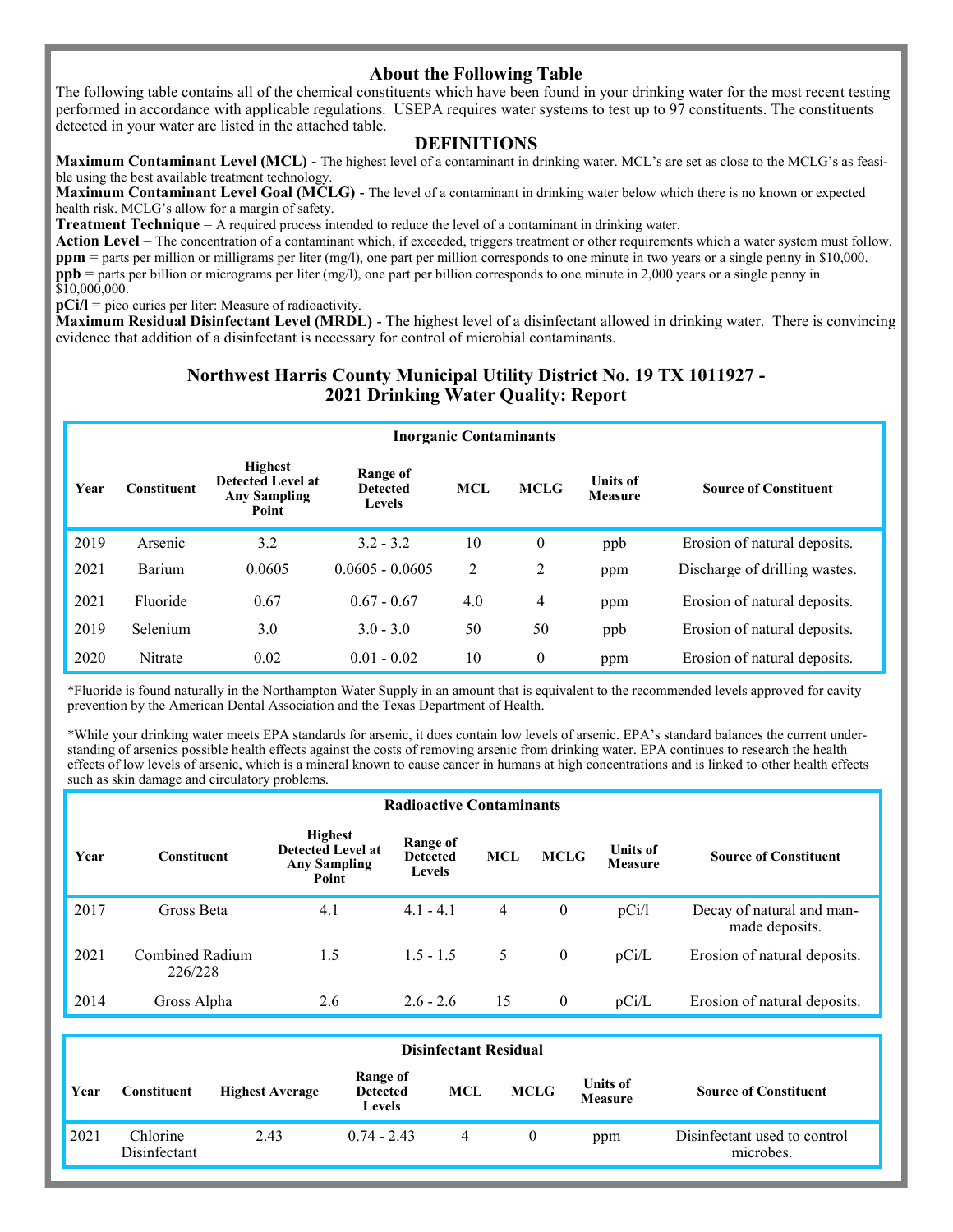# **About the Following Table**

The following table contains all of the chemical constituents which have been found in your drinking water for the most recent testing performed in accordance with applicable regulations. USEPA requires water systems to test up to 97 constituents. The constituents detected in your water are listed in the attached table.

# **DEFINITIONS**

**Maximum Contaminant Level (MCL)** - The highest level of a contaminant in drinking water. MCL's are set as close to the MCLG's as feasible using the best available treatment technology.

**Maximum Contaminant Level Goal (MCLG)** - The level of a contaminant in drinking water below which there is no known or expected health risk. MCLG's allow for a margin of safety.

**Treatment Technique** – A required process intended to reduce the level of a contaminant in drinking water.

**Action Level** – The concentration of a contaminant which, if exceeded, triggers treatment or other requirements which a water system must follow. **ppm** = parts per million or milligrams per liter (mg/l), one part per million corresponds to one minute in two years or a single penny in \$10,000. **ppb** = parts per billion or micrograms per liter (mg/l), one part per billion corresponds to one minute in 2,000 years or a single penny in  $$10,000,000.$ 

**pCi/l** = pico curies per liter: Measure of radioactivity.

**Maximum Residual Disinfectant Level (MRDL)** - The highest level of a disinfectant allowed in drinking water. There is convincing evidence that addition of a disinfectant is necessary for control of microbial contaminants.

# **Northwest Harris County Municipal Utility District No. 19 TX 1011927 - 2021 Drinking Water Quality: Report**

|      | <b>Inorganic Contaminants</b> |                                                                     |                                              |            |              |                            |                               |  |  |  |  |
|------|-------------------------------|---------------------------------------------------------------------|----------------------------------------------|------------|--------------|----------------------------|-------------------------------|--|--|--|--|
| Year | <b>Constituent</b>            | <b>Highest</b><br>Detected Level at<br><b>Any Sampling</b><br>Point | Range of<br><b>Detected</b><br><b>Levels</b> | <b>MCL</b> | <b>MCLG</b>  | <b>Units of</b><br>Measure | <b>Source of Constituent</b>  |  |  |  |  |
| 2019 | Arsenic                       | 3.2                                                                 | $3.2 - 3.2$                                  | 10         | $\mathbf{0}$ | ppb                        | Erosion of natural deposits.  |  |  |  |  |
| 2021 | Barium                        | 0.0605                                                              | $0.0605 - 0.0605$                            | 2          | 2            | ppm                        | Discharge of drilling wastes. |  |  |  |  |
| 2021 | Fluoride                      | 0.67                                                                | $0.67 - 0.67$                                | 4.0        | 4            | ppm                        | Erosion of natural deposits.  |  |  |  |  |
| 2019 | Selenium                      | 3.0                                                                 | $3.0 - 3.0$                                  | 50         | 50           | ppb                        | Erosion of natural deposits.  |  |  |  |  |
| 2020 | Nitrate                       | 0.02                                                                | $0.01 - 0.02$                                | 10         | $\mathbf{0}$ | ppm                        | Erosion of natural deposits.  |  |  |  |  |

\*Fluoride is found naturally in the Northampton Water Supply in an amount that is equivalent to the recommended levels approved for cavity prevention by the American Dental Association and the Texas Department of Health.

\*While your drinking water meets EPA standards for arsenic, it does contain low levels of arsenic. EPA's standard balances the current understanding of arsenics possible health effects against the costs of removing arsenic from drinking water. EPA continues to research the health effects of low levels of arsenic, which is a mineral known to cause cancer in humans at high concentrations and is linked to other health effects such as skin damage and circulatory problems.

|      | <b>Radioactive Contaminants</b> |                                                                            |                                       |            |              |                                   |                                             |  |  |  |  |
|------|---------------------------------|----------------------------------------------------------------------------|---------------------------------------|------------|--------------|-----------------------------------|---------------------------------------------|--|--|--|--|
| Year | <b>Constituent</b>              | <b>Highest</b><br><b>Detected Level at</b><br><b>Any Sampling</b><br>Point | Range of<br><b>Detected</b><br>Levels | <b>MCL</b> | <b>MCLG</b>  | <b>Units of</b><br><b>Measure</b> | <b>Source of Constituent</b>                |  |  |  |  |
| 2017 | Gross Beta                      | 4.1                                                                        | $4.1 - 4.1$                           | 4          | $\mathbf{0}$ | pCi/l                             | Decay of natural and man-<br>made deposits. |  |  |  |  |
| 2021 | Combined Radium<br>226/228      | 1.5                                                                        | $1.5 - 1.5$                           | 5          | $\mathbf{0}$ | pCi/L                             | Erosion of natural deposits.                |  |  |  |  |
| 2014 | Gross Alpha                     | 2.6                                                                        | $2.6 - 2.6$                           | 15         | $\theta$     | pCi/L                             | Erosion of natural deposits.                |  |  |  |  |

|      | <b>Disinfectant Residual</b> |                        |                                       |     |             |                            |                                           |  |  |  |
|------|------------------------------|------------------------|---------------------------------------|-----|-------------|----------------------------|-------------------------------------------|--|--|--|
| Year | Constituent                  | <b>Highest Average</b> | Range of<br><b>Detected</b><br>Levels | MCL | <b>MCLG</b> | Units of<br><b>Measure</b> | <b>Source of Constituent</b>              |  |  |  |
| 2021 | Chlorine<br>Disinfectant     | 2.43                   | $0.74 - 2.43$                         | 4   |             | ppm                        | Disinfectant used to control<br>microbes. |  |  |  |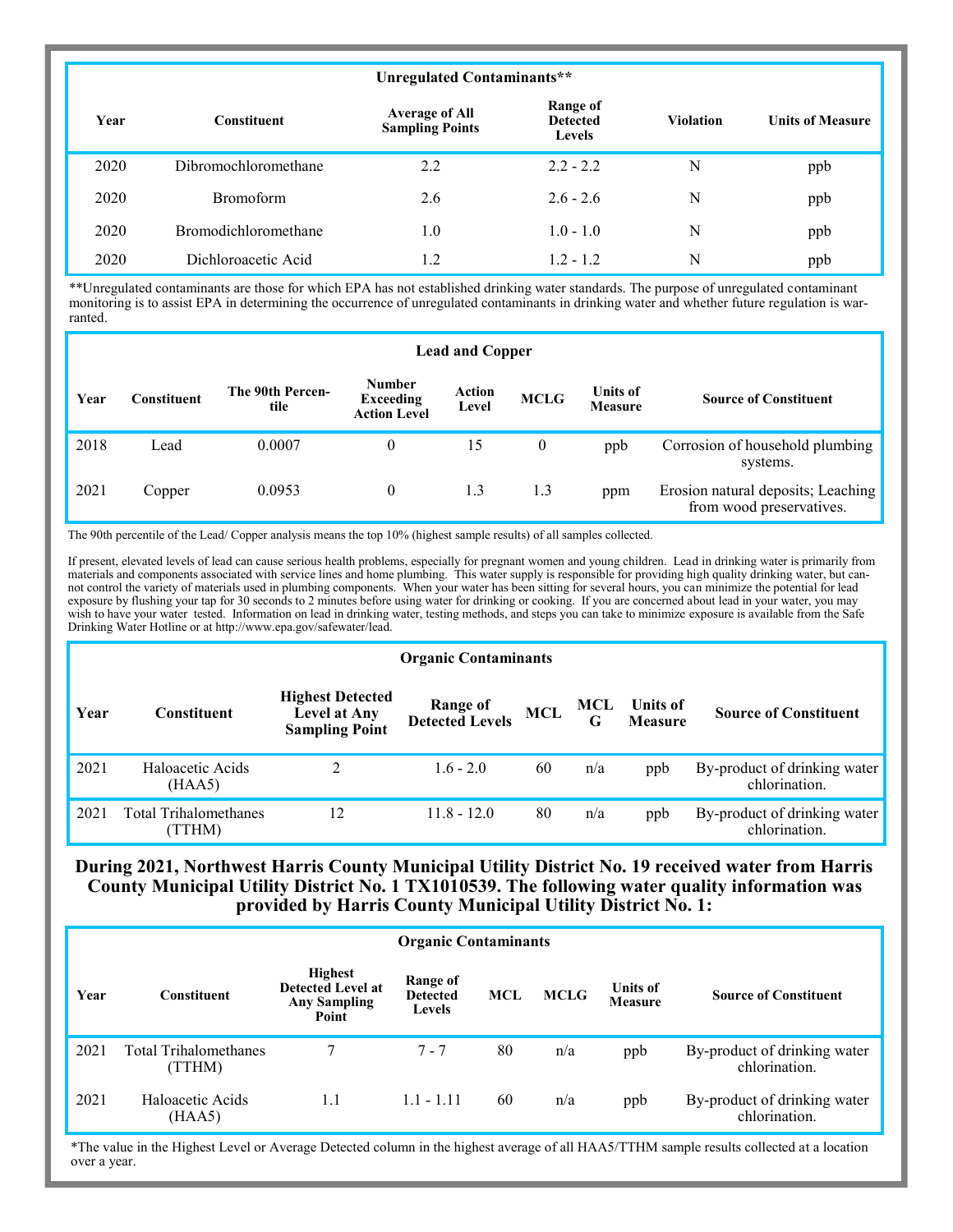|      | Unregulated Contaminants**  |                                                 |                                                     |                  |                         |  |  |  |  |  |
|------|-----------------------------|-------------------------------------------------|-----------------------------------------------------|------------------|-------------------------|--|--|--|--|--|
| Year | <b>Constituent</b>          | <b>Average of All</b><br><b>Sampling Points</b> | <b>Range of</b><br><b>Detected</b><br><b>Levels</b> | <b>Violation</b> | <b>Units of Measure</b> |  |  |  |  |  |
| 2020 | Dibromochloromethane        | 2.2                                             | $2.2 - 2.2$                                         | N                | ppb                     |  |  |  |  |  |
| 2020 | <b>Bromoform</b>            | 2.6                                             | $2.6 - 2.6$                                         | N                | ppb                     |  |  |  |  |  |
| 2020 | <b>Bromodichloromethane</b> | 1.0                                             | $1.0 - 1.0$                                         | N                | ppb                     |  |  |  |  |  |
| 2020 | Dichloroacetic Acid         | 1.2                                             | $1.2 - 1.2$                                         | N                | ppb                     |  |  |  |  |  |

\*\*Unregulated contaminants are those for which EPA has not established drinking water standards. The purpose of unregulated contaminant monitoring is to assist EPA in determining the occurrence of unregulated contaminants in drinking water and whether future regulation is warranted.

|      | <b>Lead and Copper</b> |                          |                                                   |                        |                  |                                   |                                                                |  |  |  |  |
|------|------------------------|--------------------------|---------------------------------------------------|------------------------|------------------|-----------------------------------|----------------------------------------------------------------|--|--|--|--|
| Year | Constituent            | The 90th Percen-<br>tile | <b>Number</b><br>Exceeding<br><b>Action Level</b> | <b>Action</b><br>Level | <b>MCLG</b>      | <b>Units of</b><br><b>Measure</b> | <b>Source of Constituent</b>                                   |  |  |  |  |
| 2018 | Lead                   | 0.0007                   | $\theta$                                          | 15                     | $\boldsymbol{0}$ | ppb                               | Corrosion of household plumbing<br>systems.                    |  |  |  |  |
| 2021 | Copper                 | 0.0953                   | $\theta$                                          | 1.3                    | 1.3              | ppm                               | Erosion natural deposits; Leaching<br>from wood preservatives. |  |  |  |  |

The 90th percentile of the Lead/ Copper analysis means the top 10% (highest sample results) of all samples collected.

If present, elevated levels of lead can cause serious health problems, especially for pregnant women and young children. Lead in drinking water is primarily from materials and components associated with service lines and home plumbing. This water supply is responsible for providing high quality drinking water, but cannot control the variety of materials used in plumbing components. When your water has been sitting for several hours, you can minimize the potential for lead exposure by flushing your tap for 30 seconds to 2 minutes before using water for drinking or cooking. If you are concerned about lead in your water, you may wish to have your water tested. Information on lead in drinking water, testing methods, and steps you can take to minimize exposure is available from the Safe Drinking Water Hotline or at http://www.epa.gov/safewater/lead.

#### **Organic Contaminants**

| Year | Constituent                            | <b>Highest Detected</b><br>Level at Any<br><b>Sampling Point</b> | <b>Range of<br/>Detected Levels</b> | MCL | MCL<br>G | Units of<br><b>Measure</b> | <b>Source of Constituent</b>                  |
|------|----------------------------------------|------------------------------------------------------------------|-------------------------------------|-----|----------|----------------------------|-----------------------------------------------|
| 2021 | Haloacetic Acids<br>(HAA5)             |                                                                  | $1.6 - 2.0$                         | 60  | n/a      | ppb                        | By-product of drinking water<br>chlorination. |
| 2021 | <b>Total Trihalomethanes</b><br>(TTHM) | 12                                                               | $11.8 - 12.0$                       | 80  | n/a      | ppb                        | By-product of drinking water<br>chlorination. |

# **During 2021, Northwest Harris County Municipal Utility District No. 19 received water from Harris County Municipal Utility District No. 1 TX1010539. The following water quality information was provided by Harris County Municipal Utility District No. 1:**

|      | <b>Organic Contaminants</b>    |                                                                            |                                              |            |             |                            |                                               |  |  |  |  |
|------|--------------------------------|----------------------------------------------------------------------------|----------------------------------------------|------------|-------------|----------------------------|-----------------------------------------------|--|--|--|--|
| Year | <b>Constituent</b>             | <b>Highest</b><br><b>Detected Level at</b><br><b>Any Sampling</b><br>Point | Range of<br><b>Detected</b><br><b>Levels</b> | <b>MCL</b> | <b>MCLG</b> | <b>Units of</b><br>Measure | <b>Source of Constituent</b>                  |  |  |  |  |
| 2021 | Total Trihalomethanes<br>TTHM) |                                                                            | 7 - 7                                        | 80         | n/a         | ppb                        | By-product of drinking water<br>chlorination. |  |  |  |  |
| 2021 | Haloacetic Acids<br>(HAA5)     | 1.1                                                                        | $1.1 - 1.11$                                 | 60         | n/a         | ppb                        | By-product of drinking water<br>chlorination. |  |  |  |  |

\*The value in the Highest Level or Average Detected column in the highest average of all HAA5/TTHM sample results collected at a location over a year.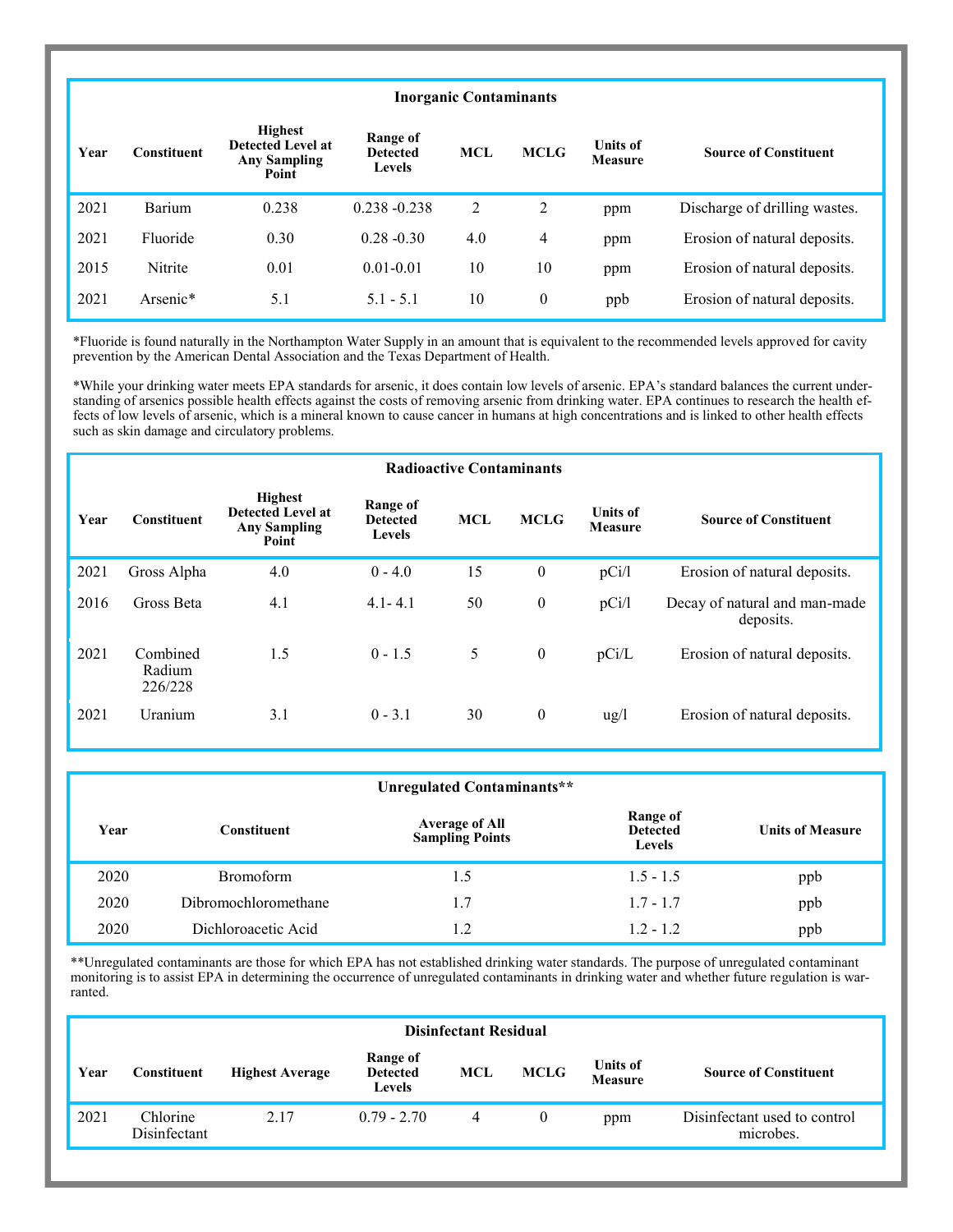# **Inorganic Contaminants**

| Year | Constituent | <b>Highest</b><br><b>Detected Level at</b><br><b>Any Sampling</b><br>Point | Range of<br><b>Detected</b><br><b>Levels</b> | <b>MCL</b> | <b>MCLG</b>    | <b>Units of</b><br><b>Measure</b> | <b>Source of Constituent</b>  |
|------|-------------|----------------------------------------------------------------------------|----------------------------------------------|------------|----------------|-----------------------------------|-------------------------------|
| 2021 | Barium      | 0.238                                                                      | $0.238 - 0.238$                              | 2          | 2              | ppm                               | Discharge of drilling wastes. |
| 2021 | Fluoride    | 0.30                                                                       | $0.28 - 0.30$                                | 4.0        | $\overline{4}$ | ppm                               | Erosion of natural deposits.  |
| 2015 | Nitrite     | 0.01                                                                       | $0.01 - 0.01$                                | 10         | 10             | ppm                               | Erosion of natural deposits.  |
| 2021 | Arsenic*    | 5.1                                                                        | $5.1 - 5.1$                                  | 10         | $\mathbf{0}$   | ppb                               | Erosion of natural deposits.  |

\*Fluoride is found naturally in the Northampton Water Supply in an amount that is equivalent to the recommended levels approved for cavity prevention by the American Dental Association and the Texas Department of Health.

\*While your drinking water meets EPA standards for arsenic, it does contain low levels of arsenic. EPA's standard balances the current understanding of arsenics possible health effects against the costs of removing arsenic from drinking water. EPA continues to research the health effects of low levels of arsenic, which is a mineral known to cause cancer in humans at high concentrations and is linked to other health effects such as skin damage and circulatory problems.

|      | <b>Radioactive Contaminants</b> |                                                                            |                                              |            |              |                                   |                                            |  |  |  |  |
|------|---------------------------------|----------------------------------------------------------------------------|----------------------------------------------|------------|--------------|-----------------------------------|--------------------------------------------|--|--|--|--|
| Year | <b>Constituent</b>              | <b>Highest</b><br><b>Detected Level at</b><br><b>Any Sampling</b><br>Point | Range of<br><b>Detected</b><br><b>Levels</b> | <b>MCL</b> | <b>MCLG</b>  | <b>Units of</b><br><b>Measure</b> | <b>Source of Constituent</b>               |  |  |  |  |
| 2021 | Gross Alpha                     | 4.0                                                                        | $0 - 4.0$                                    | 15         | $\mathbf{0}$ | pCi/l                             | Erosion of natural deposits.               |  |  |  |  |
| 2016 | Gross Beta                      | 4.1                                                                        | $4.1 - 4.1$                                  | 50         | $\theta$     | pCi/l                             | Decay of natural and man-made<br>deposits. |  |  |  |  |
| 2021 | Combined<br>Radium<br>226/228   | 1.5                                                                        | $0 - 1.5$                                    | 5          | $\mathbf{0}$ | pCi/L                             | Erosion of natural deposits.               |  |  |  |  |
| 2021 | Uranium                         | 3.1                                                                        | $0 - 3.1$                                    | 30         | $\mathbf{0}$ | $\frac{u g}{l}$                   | Erosion of natural deposits.               |  |  |  |  |

|      | Unregulated Contaminants** |                                                 |                                              |                         |  |  |  |  |  |  |
|------|----------------------------|-------------------------------------------------|----------------------------------------------|-------------------------|--|--|--|--|--|--|
| Year | <b>Constituent</b>         | <b>Average of All</b><br><b>Sampling Points</b> | Range of<br><b>Detected</b><br><b>Levels</b> | <b>Units of Measure</b> |  |  |  |  |  |  |
| 2020 | <b>Bromoform</b>           | 1.5                                             | $1.5 - 1.5$                                  | ppb                     |  |  |  |  |  |  |
| 2020 | Dibromochloromethane       | 1.7                                             | $1.7 - 1.7$                                  | ppb                     |  |  |  |  |  |  |
| 2020 | Dichloroacetic Acid        | 1.2                                             | $1.2 - 1.2$                                  | ppb                     |  |  |  |  |  |  |

\*\*Unregulated contaminants are those for which EPA has not established drinking water standards. The purpose of unregulated contaminant monitoring is to assist EPA in determining the occurrence of unregulated contaminants in drinking water and whether future regulation is warranted.

|      | <b>Disinfectant Residual</b> |                        |                                              |     |             |                                   |                                           |  |  |  |
|------|------------------------------|------------------------|----------------------------------------------|-----|-------------|-----------------------------------|-------------------------------------------|--|--|--|
| Year | Constituent                  | <b>Highest Average</b> | Range of<br><b>Detected</b><br><b>Levels</b> | MCL | <b>MCLG</b> | <b>Units of</b><br><b>Measure</b> | <b>Source of Constituent</b>              |  |  |  |
| 2021 | Chlorine<br>Disinfectant     | 2.17                   | $0.79 - 2.70$                                | 4   |             | ppm                               | Disinfectant used to control<br>microbes. |  |  |  |